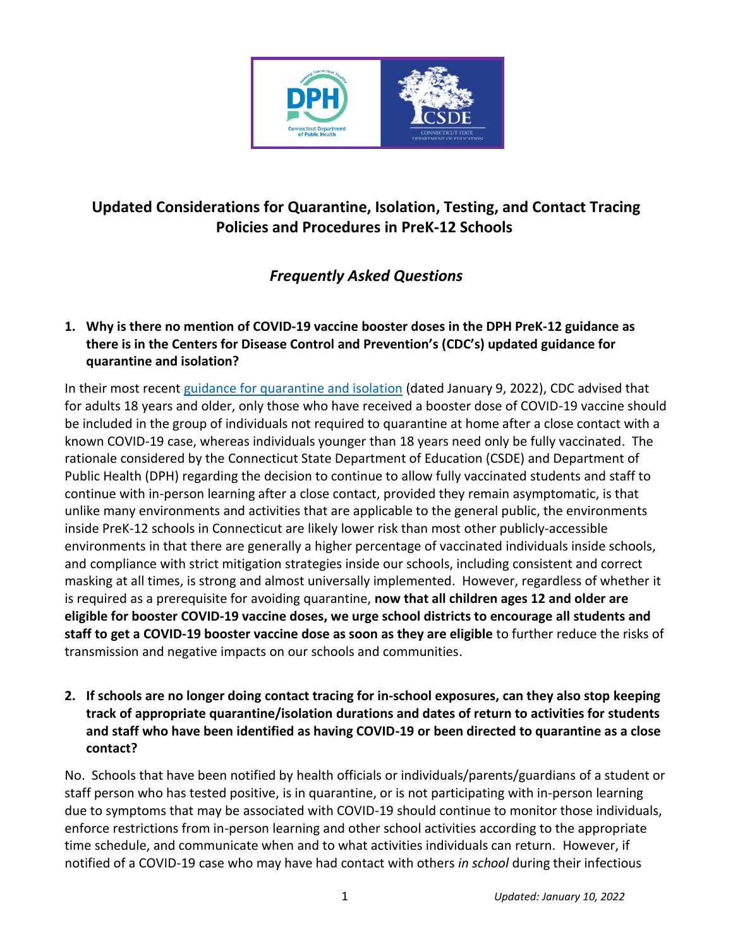

# **Updated Considerations for Quarantine, Isolation, Testing, and Contact Tracing Policies and Procedures in PreK-12 Schools**

## *Frequently Asked Questions*

## **1. Why is there no mention of COVID-19 vaccine booster doses in the DPH PreK-12 guidance as there is in the Centers for Disease Control and Prevention's (CDC's) updated guidance for quarantine and isolation?**

In their most recent [guidance for quarantine and isolation](https://www.cdc.gov/coronavirus/2019-ncov/your-health/quarantine-isolation.html) (dated January 9, 2022), CDC advised that for adults 18 years and older, only those who have received a booster dose of COVID-19 vaccine should be included in the group of individuals not required to quarantine at home after a close contact with a known COVID-19 case, whereas individuals younger than 18 years need only be fully vaccinated. The rationale considered by the Connecticut State Department of Education (CSDE) and Department of Public Health (DPH) regarding the decision to continue to allow fully vaccinated students and staff to continue with in-person learning after a close contact, provided they remain asymptomatic, is that unlike many environments and activities that are applicable to the general public, the environments inside PreK-12 schools in Connecticut are likely lower risk than most other publicly-accessible environments in that there are generally a higher percentage of vaccinated individuals inside schools, and compliance with strict mitigation strategies inside our schools, including consistent and correct masking at all times, is strong and almost universally implemented. However, regardless of whether it is required as a prerequisite for avoiding quarantine, **now that all children ages 12 and older are eligible for booster COVID-19 vaccine doses, we urge school districts to encourage all students and staff to get a COVID-19 booster vaccine dose as soon as they are eligible** to further reduce the risks of transmission and negative impacts on our schools and communities.

#### **2. If schools are no longer doing contact tracing for in-school exposures, can they also stop keeping track of appropriate quarantine/isolation durations and dates of return to activities for students and staff who have been identified as having COVID-19 or been directed to quarantine as a close contact?**

No. Schools that have been notified by health officials or individuals/parents/guardians of a student or staff person who has tested positive, is in quarantine, or is not participating with in-person learning due to symptoms that may be associated with COVID-19 should continue to monitor those individuals, enforce restrictions from in-person learning and other school activities according to the appropriate time schedule, and communicate when and to what activities individuals can return. However, if notified of a COVID-19 case who may have had contact with others *in school* during their infectious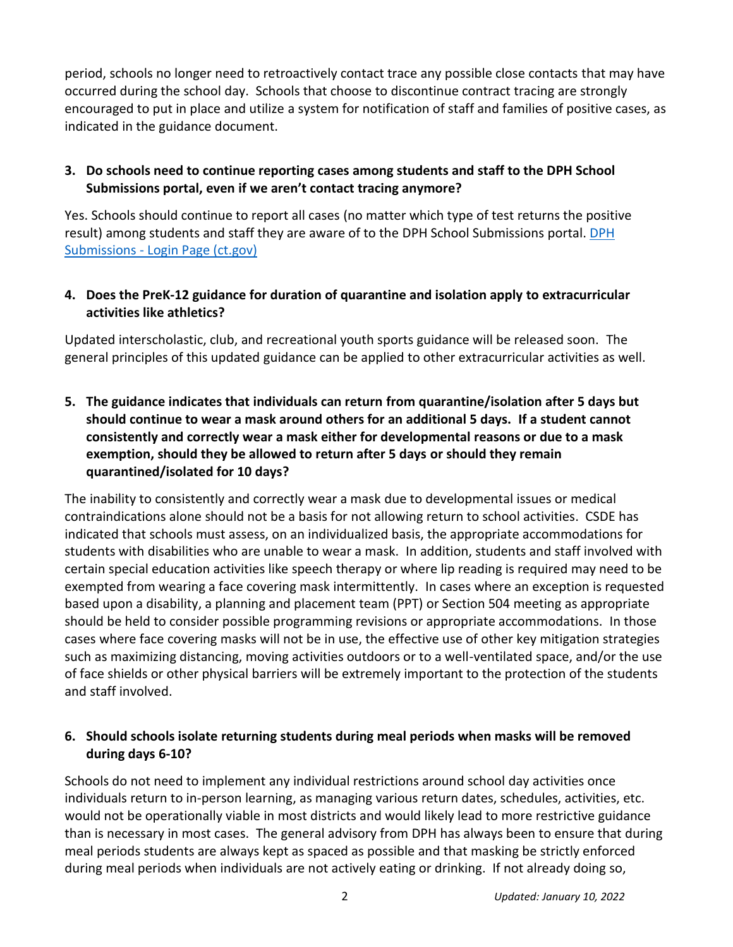period, schools no longer need to retroactively contact trace any possible close contacts that may have occurred during the school day. Schools that choose to discontinue contract tracing are strongly encouraged to put in place and utilize a system for notification of staff and families of positive cases, as indicated in the guidance document.

#### **3. Do schools need to continue reporting cases among students and staff to the DPH School Submissions portal, even if we aren't contact tracing anymore?**

Yes. Schools should continue to report all cases (no matter which type of test returns the positive result) among students and staff they are aware of to the DPH School Submissions portal[. DPH](https://dphsubmissions.ct.gov/Account/Login)  Submissions - [Login Page \(ct.gov\)](https://dphsubmissions.ct.gov/Account/Login)

#### **4. Does the PreK-12 guidance for duration of quarantine and isolation apply to extracurricular activities like athletics?**

Updated interscholastic, club, and recreational youth sports guidance will be released soon. The general principles of this updated guidance can be applied to other extracurricular activities as well.

**5. The guidance indicates that individuals can return from quarantine/isolation after 5 days but should continue to wear a mask around others for an additional 5 days. If a student cannot consistently and correctly wear a mask either for developmental reasons or due to a mask exemption, should they be allowed to return after 5 days or should they remain quarantined/isolated for 10 days?**

The inability to consistently and correctly wear a mask due to developmental issues or medical contraindications alone should not be a basis for not allowing return to school activities. CSDE has indicated that schools must assess, on an individualized basis, the appropriate accommodations for students with disabilities who are unable to wear a mask. In addition, students and staff involved with certain special education activities like speech therapy or where lip reading is required may need to be exempted from wearing a face covering mask intermittently. In cases where an exception is requested based upon a disability, a planning and placement team (PPT) or Section 504 meeting as appropriate should be held to consider possible programming revisions or appropriate accommodations. In those cases where face covering masks will not be in use, the effective use of other key mitigation strategies such as maximizing distancing, moving activities outdoors or to a well-ventilated space, and/or the use of face shields or other physical barriers will be extremely important to the protection of the students and staff involved.

#### **6. Should schools isolate returning students during meal periods when masks will be removed during days 6-10?**

Schools do not need to implement any individual restrictions around school day activities once individuals return to in-person learning, as managing various return dates, schedules, activities, etc. would not be operationally viable in most districts and would likely lead to more restrictive guidance than is necessary in most cases. The general advisory from DPH has always been to ensure that during meal periods students are always kept as spaced as possible and that masking be strictly enforced during meal periods when individuals are not actively eating or drinking. If not already doing so,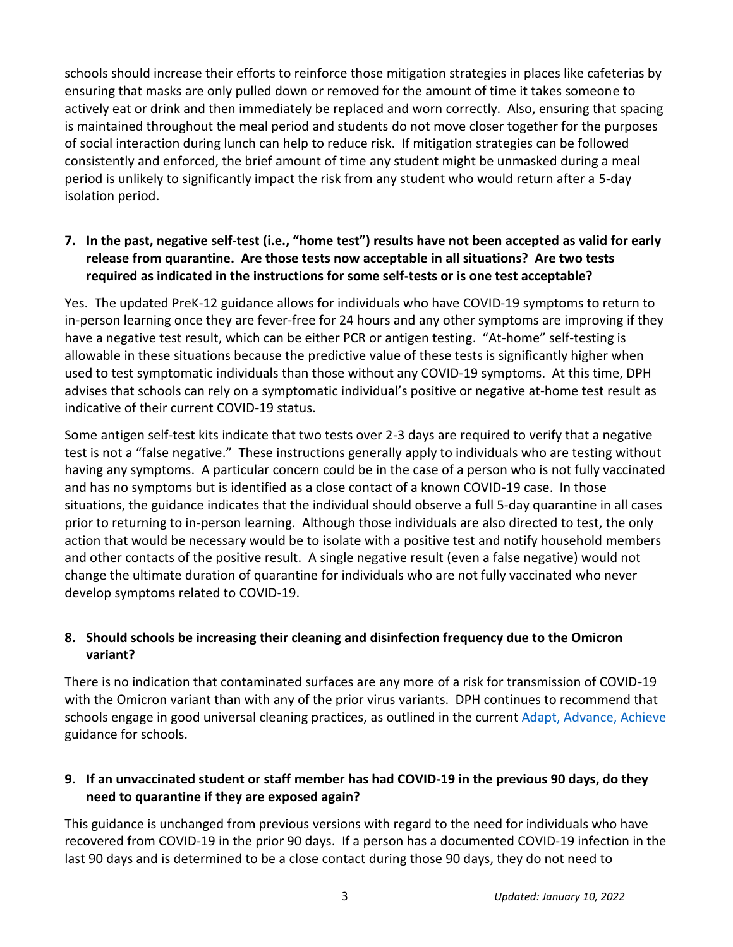schools should increase their efforts to reinforce those mitigation strategies in places like cafeterias by ensuring that masks are only pulled down or removed for the amount of time it takes someone to actively eat or drink and then immediately be replaced and worn correctly. Also, ensuring that spacing is maintained throughout the meal period and students do not move closer together for the purposes of social interaction during lunch can help to reduce risk. If mitigation strategies can be followed consistently and enforced, the brief amount of time any student might be unmasked during a meal period is unlikely to significantly impact the risk from any student who would return after a 5-day isolation period.

#### **7. In the past, negative self-test (i.e., "home test") results have not been accepted as valid for early release from quarantine. Are those tests now acceptable in all situations? Are two tests required as indicated in the instructions for some self-tests or is one test acceptable?**

Yes. The updated PreK-12 guidance allows for individuals who have COVID-19 symptoms to return to in-person learning once they are fever-free for 24 hours and any other symptoms are improving if they have a negative test result, which can be either PCR or antigen testing. "At-home" self-testing is allowable in these situations because the predictive value of these tests is significantly higher when used to test symptomatic individuals than those without any COVID-19 symptoms. At this time, DPH advises that schools can rely on a symptomatic individual's positive or negative at-home test result as indicative of their current COVID-19 status.

Some antigen self-test kits indicate that two tests over 2-3 days are required to verify that a negative test is not a "false negative." These instructions generally apply to individuals who are testing without having any symptoms. A particular concern could be in the case of a person who is not fully vaccinated and has no symptoms but is identified as a close contact of a known COVID-19 case. In those situations, the guidance indicates that the individual should observe a full 5-day quarantine in all cases prior to returning to in-person learning. Although those individuals are also directed to test, the only action that would be necessary would be to isolate with a positive test and notify household members and other contacts of the positive result. A single negative result (even a false negative) would not change the ultimate duration of quarantine for individuals who are not fully vaccinated who never develop symptoms related to COVID-19.

#### **8. Should schools be increasing their cleaning and disinfection frequency due to the Omicron variant?**

There is no indication that contaminated surfaces are any more of a risk for transmission of COVID-19 with the Omicron variant than with any of the prior virus variants. DPH continues to recommend that schools engage in good universal cleaning practices, as outlined in the current [Adapt, Advance, Achieve](https://portal.ct.gov/-/media/SDE/COVID-19/FallMitigationGuidance.pdf) guidance for schools.

## **9. If an unvaccinated student or staff member has had COVID-19 in the previous 90 days, do they need to quarantine if they are exposed again?**

This guidance is unchanged from previous versions with regard to the need for individuals who have recovered from COVID-19 in the prior 90 days. If a person has a documented COVID-19 infection in the last 90 days and is determined to be a close contact during those 90 days, they do not need to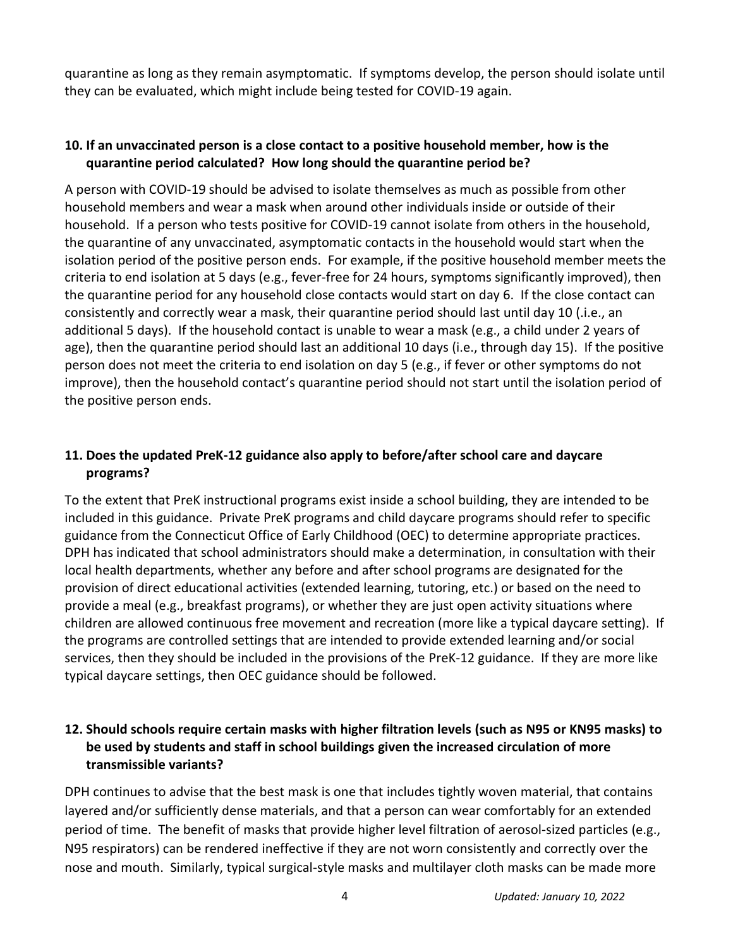quarantine as long as they remain asymptomatic. If symptoms develop, the person should isolate until they can be evaluated, which might include being tested for COVID-19 again.

#### **10. If an unvaccinated person is a close contact to a positive household member, how is the quarantine period calculated? How long should the quarantine period be?**

A person with COVID-19 should be advised to isolate themselves as much as possible from other household members and wear a mask when around other individuals inside or outside of their household. If a person who tests positive for COVID-19 cannot isolate from others in the household, the quarantine of any unvaccinated, asymptomatic contacts in the household would start when the isolation period of the positive person ends. For example, if the positive household member meets the criteria to end isolation at 5 days (e.g., fever-free for 24 hours, symptoms significantly improved), then the quarantine period for any household close contacts would start on day 6. If the close contact can consistently and correctly wear a mask, their quarantine period should last until day 10 (.i.e., an additional 5 days). If the household contact is unable to wear a mask (e.g., a child under 2 years of age), then the quarantine period should last an additional 10 days (i.e., through day 15). If the positive person does not meet the criteria to end isolation on day 5 (e.g., if fever or other symptoms do not improve), then the household contact's quarantine period should not start until the isolation period of the positive person ends.

## **11. Does the updated PreK-12 guidance also apply to before/after school care and daycare programs?**

To the extent that PreK instructional programs exist inside a school building, they are intended to be included in this guidance. Private PreK programs and child daycare programs should refer to specific guidance from the Connecticut Office of Early Childhood (OEC) to determine appropriate practices. DPH has indicated that school administrators should make a determination, in consultation with their local health departments, whether any before and after school programs are designated for the provision of direct educational activities (extended learning, tutoring, etc.) or based on the need to provide a meal (e.g., breakfast programs), or whether they are just open activity situations where children are allowed continuous free movement and recreation (more like a typical daycare setting). If the programs are controlled settings that are intended to provide extended learning and/or social services, then they should be included in the provisions of the PreK-12 guidance. If they are more like typical daycare settings, then OEC guidance should be followed.

#### **12. Should schools require certain masks with higher filtration levels (such as N95 or KN95 masks) to be used by students and staff in school buildings given the increased circulation of more transmissible variants?**

DPH continues to advise that the best mask is one that includes tightly woven material, that contains layered and/or sufficiently dense materials, and that a person can wear comfortably for an extended period of time. The benefit of masks that provide higher level filtration of aerosol-sized particles (e.g., N95 respirators) can be rendered ineffective if they are not worn consistently and correctly over the nose and mouth. Similarly, typical surgical-style masks and multilayer cloth masks can be made more